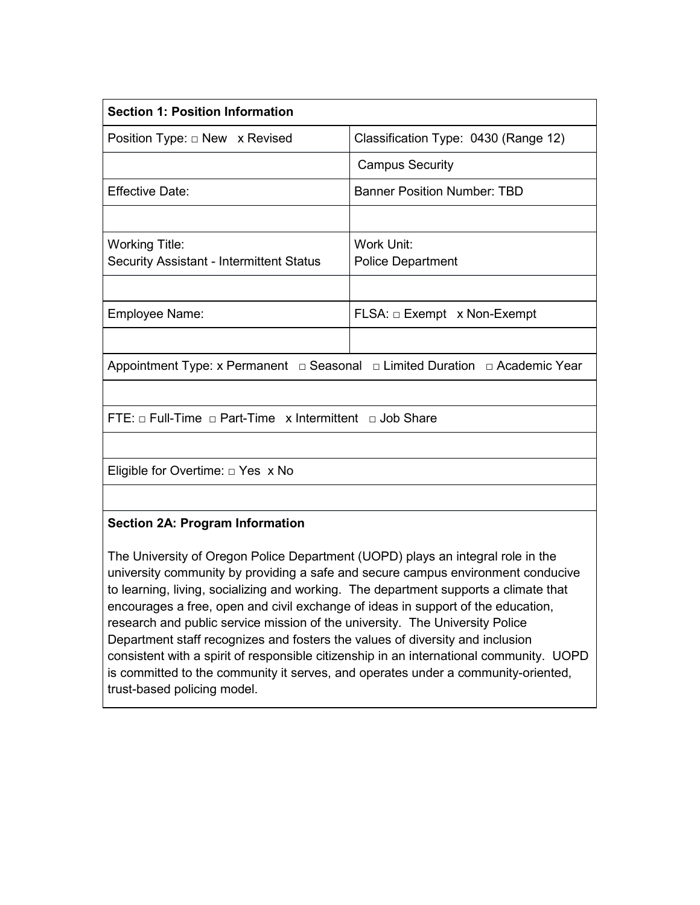| <b>Section 1: Position Information</b>                                      |                                      |  |  |  |
|-----------------------------------------------------------------------------|--------------------------------------|--|--|--|
| Position Type: $\Box$ New x Revised                                         | Classification Type: 0430 (Range 12) |  |  |  |
|                                                                             | <b>Campus Security</b>               |  |  |  |
| <b>Effective Date:</b>                                                      | <b>Banner Position Number: TBD</b>   |  |  |  |
|                                                                             |                                      |  |  |  |
| <b>Working Title:</b>                                                       | Work Unit:                           |  |  |  |
| <b>Security Assistant - Intermittent Status</b>                             | <b>Police Department</b>             |  |  |  |
|                                                                             |                                      |  |  |  |
| Employee Name:                                                              | $FLSA: \Box$ Exempt x Non-Exempt     |  |  |  |
|                                                                             |                                      |  |  |  |
| Appointment Type: x Permanent □ Seasonal □ Limited Duration □ Academic Year |                                      |  |  |  |
|                                                                             |                                      |  |  |  |
| FTE: $\Box$ Full-Time $\Box$ Part-Time x Intermittent $\Box$ Job Share      |                                      |  |  |  |
|                                                                             |                                      |  |  |  |
| Eligible for Overtime: $\Box$ Yes x No                                      |                                      |  |  |  |
|                                                                             |                                      |  |  |  |
| <b>Section 2A: Program Information</b>                                      |                                      |  |  |  |

The University of Oregon Police Department (UOPD) plays an integral role in the university community by providing a safe and secure campus environment conducive to learning, living, socializing and working. The department supports a climate that encourages a free, open and civil exchange of ideas in support of the education, research and public service mission of the university. The University Police Department staff recognizes and fosters the values of diversity and inclusion consistent with a spirit of responsible citizenship in an international community. UOPD is committed to the community it serves, and operates under a community-oriented,

trust-based policing model.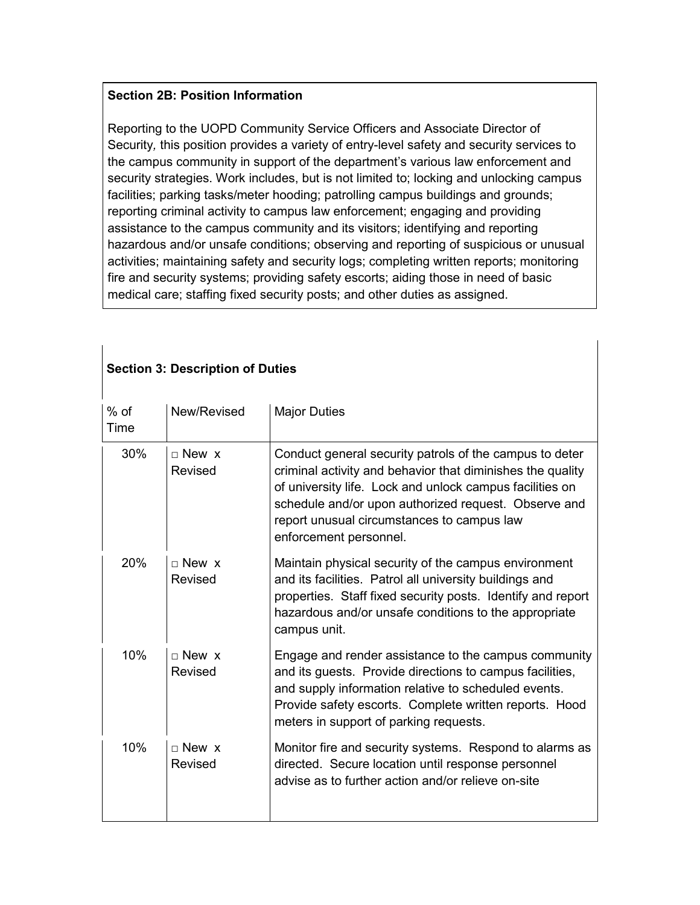#### **Section 2B: Position Information**

Reporting to the UOPD Community Service Officers and Associate Director of Security*,* this position provides a variety of entry-level safety and security services to the campus community in support of the department's various law enforcement and security strategies. Work includes, but is not limited to; locking and unlocking campus facilities; parking tasks/meter hooding; patrolling campus buildings and grounds; reporting criminal activity to campus law enforcement; engaging and providing assistance to the campus community and its visitors; identifying and reporting hazardous and/or unsafe conditions; observing and reporting of suspicious or unusual activities; maintaining safety and security logs; completing written reports; monitoring fire and security systems; providing safety escorts; aiding those in need of basic medical care; staffing fixed security posts; and other duties as assigned.

| $%$ of<br>Time | New/Revised               | <b>Major Duties</b>                                                                                                                                                                                                                                                                                               |  |  |
|----------------|---------------------------|-------------------------------------------------------------------------------------------------------------------------------------------------------------------------------------------------------------------------------------------------------------------------------------------------------------------|--|--|
| 30%            | $\sqcap$ New x<br>Revised | Conduct general security patrols of the campus to deter<br>criminal activity and behavior that diminishes the quality<br>of university life. Lock and unlock campus facilities on<br>schedule and/or upon authorized request. Observe and<br>report unusual circumstances to campus law<br>enforcement personnel. |  |  |
| 20%            | $\sqcap$ New x<br>Revised | Maintain physical security of the campus environment<br>and its facilities. Patrol all university buildings and<br>properties. Staff fixed security posts. Identify and report<br>hazardous and/or unsafe conditions to the appropriate<br>campus unit.                                                           |  |  |
| 10%            | $\sqcap$ New x<br>Revised | Engage and render assistance to the campus community<br>and its guests. Provide directions to campus facilities,<br>and supply information relative to scheduled events.<br>Provide safety escorts. Complete written reports. Hood<br>meters in support of parking requests.                                      |  |  |
| 10%            | $\sqcap$ New x<br>Revised | Monitor fire and security systems. Respond to alarms as<br>directed. Secure location until response personnel<br>advise as to further action and/or relieve on-site                                                                                                                                               |  |  |

## **Section 3: Description of Duties**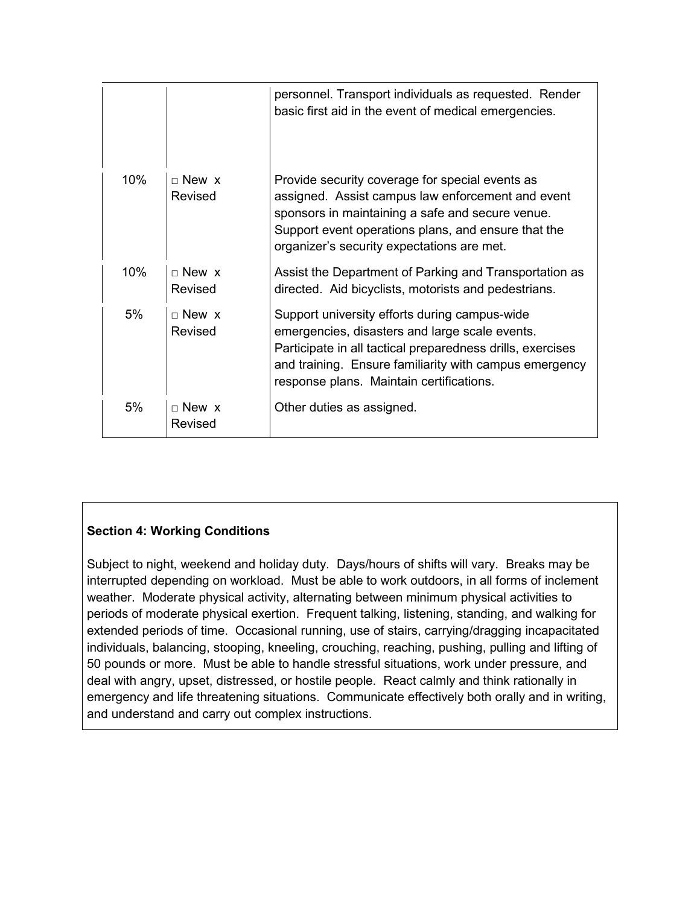|     |                              | personnel. Transport individuals as requested. Render<br>basic first aid in the event of medical emergencies.                                                                                                                                                       |
|-----|------------------------------|---------------------------------------------------------------------------------------------------------------------------------------------------------------------------------------------------------------------------------------------------------------------|
| 10% | $\sqcap$ New x<br>Revised    | Provide security coverage for special events as<br>assigned. Assist campus law enforcement and event<br>sponsors in maintaining a safe and secure venue.<br>Support event operations plans, and ensure that the<br>organizer's security expectations are met.       |
| 10% | $\sqcap$ New x<br>Revised    | Assist the Department of Parking and Transportation as<br>directed. Aid bicyclists, motorists and pedestrians.                                                                                                                                                      |
| 5%  | $\Box$ New $\chi$<br>Revised | Support university efforts during campus-wide<br>emergencies, disasters and large scale events.<br>Participate in all tactical preparedness drills, exercises<br>and training. Ensure familiarity with campus emergency<br>response plans. Maintain certifications. |
| 5%  | $\Box$ New $\chi$<br>Revised | Other duties as assigned.                                                                                                                                                                                                                                           |

# **Section 4: Working Conditions**

Subject to night, weekend and holiday duty. Days/hours of shifts will vary. Breaks may be interrupted depending on workload. Must be able to work outdoors, in all forms of inclement weather. Moderate physical activity, alternating between minimum physical activities to periods of moderate physical exertion. Frequent talking, listening, standing, and walking for extended periods of time. Occasional running, use of stairs, carrying/dragging incapacitated individuals, balancing, stooping, kneeling, crouching, reaching, pushing, pulling and lifting of 50 pounds or more. Must be able to handle stressful situations, work under pressure, and deal with angry, upset, distressed, or hostile people. React calmly and think rationally in emergency and life threatening situations. Communicate effectively both orally and in writing, and understand and carry out complex instructions.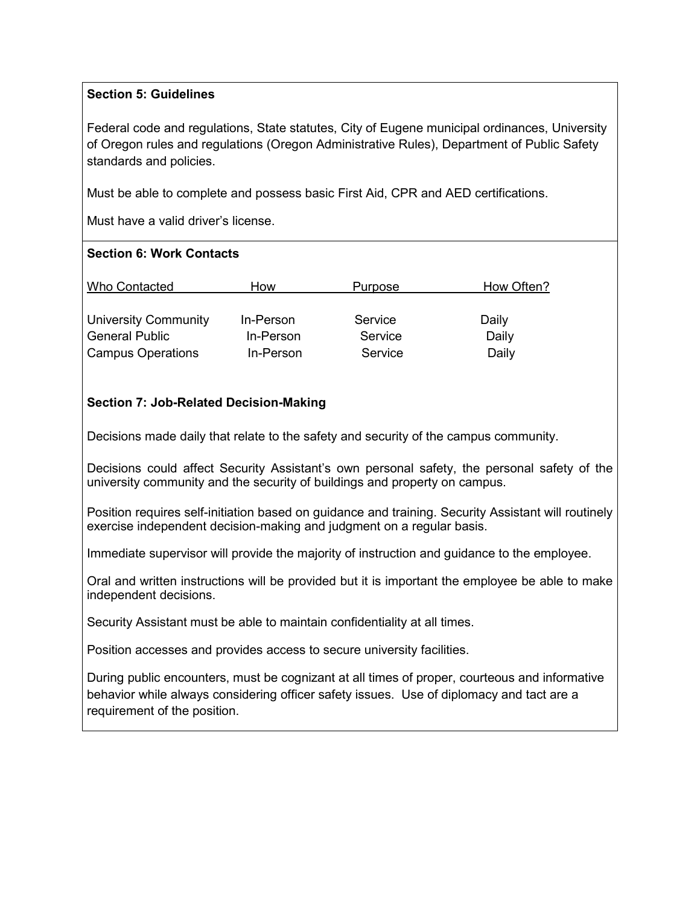## **Section 5: Guidelines**

Federal code and regulations, State statutes, City of Eugene municipal ordinances, University of Oregon rules and regulations (Oregon Administrative Rules), Department of Public Safety standards and policies.

Must be able to complete and possess basic First Aid, CPR and AED certifications.

Must have a valid driver's license.

#### **Section 6: Work Contacts**

| <b>Who Contacted</b>        | How       | Purpose | How Often? |
|-----------------------------|-----------|---------|------------|
|                             |           |         |            |
| <b>University Community</b> | In-Person | Service | Daily      |
| <b>General Public</b>       | In-Person | Service | Daily      |
| <b>Campus Operations</b>    | In-Person | Service | Daily      |

## **Section 7: Job-Related Decision-Making**

Decisions made daily that relate to the safety and security of the campus community.

Decisions could affect Security Assistant's own personal safety, the personal safety of the university community and the security of buildings and property on campus.

Position requires self-initiation based on guidance and training. Security Assistant will routinely exercise independent decision-making and judgment on a regular basis.

Immediate supervisor will provide the majority of instruction and guidance to the employee.

Oral and written instructions will be provided but it is important the employee be able to make independent decisions.

Security Assistant must be able to maintain confidentiality at all times.

Position accesses and provides access to secure university facilities.

During public encounters, must be cognizant at all times of proper, courteous and informative behavior while always considering officer safety issues. Use of diplomacy and tact are a requirement of the position.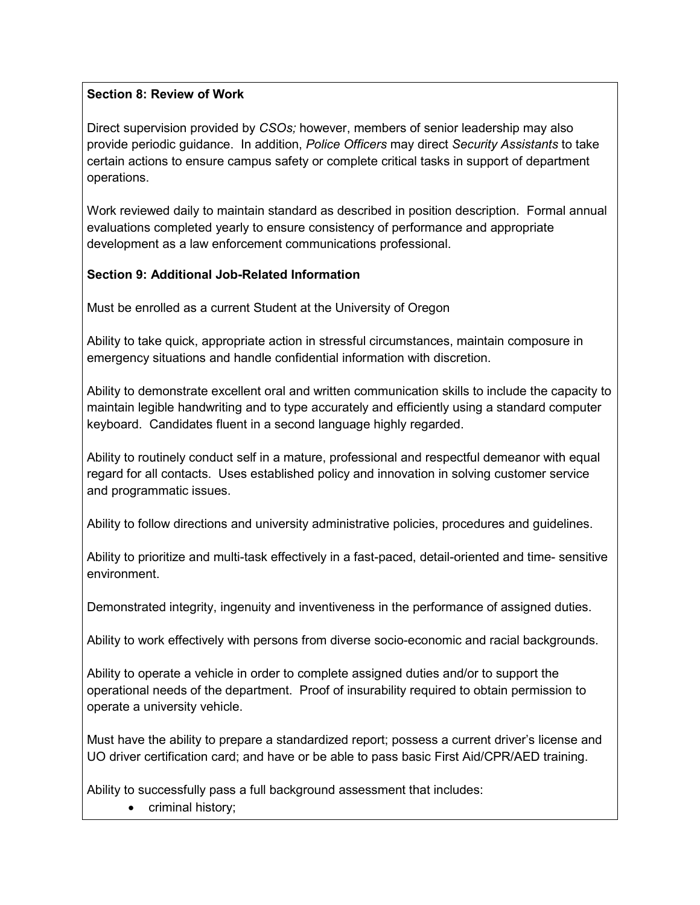# **Section 8: Review of Work**

Direct supervision provided by *CSOs;* however, members of senior leadership may also provide periodic guidance. In addition, *Police Officers* may direct *Security Assistants* to take certain actions to ensure campus safety or complete critical tasks in support of department operations.

Work reviewed daily to maintain standard as described in position description. Formal annual evaluations completed yearly to ensure consistency of performance and appropriate development as a law enforcement communications professional.

## **Section 9: Additional Job-Related Information**

Must be enrolled as a current Student at the University of Oregon

Ability to take quick, appropriate action in stressful circumstances, maintain composure in emergency situations and handle confidential information with discretion.

Ability to demonstrate excellent oral and written communication skills to include the capacity to maintain legible handwriting and to type accurately and efficiently using a standard computer keyboard. Candidates fluent in a second language highly regarded.

Ability to routinely conduct self in a mature, professional and respectful demeanor with equal regard for all contacts. Uses established policy and innovation in solving customer service and programmatic issues.

Ability to follow directions and university administrative policies, procedures and guidelines.

Ability to prioritize and multi-task effectively in a fast-paced, detail-oriented and time- sensitive environment.

Demonstrated integrity, ingenuity and inventiveness in the performance of assigned duties.

Ability to work effectively with persons from diverse socio-economic and racial backgrounds.

Ability to operate a vehicle in order to complete assigned duties and/or to support the operational needs of the department. Proof of insurability required to obtain permission to operate a university vehicle.

Must have the ability to prepare a standardized report; possess a current driver's license and UO driver certification card; and have or be able to pass basic First Aid/CPR/AED training.

Ability to successfully pass a full background assessment that includes:

• criminal history;